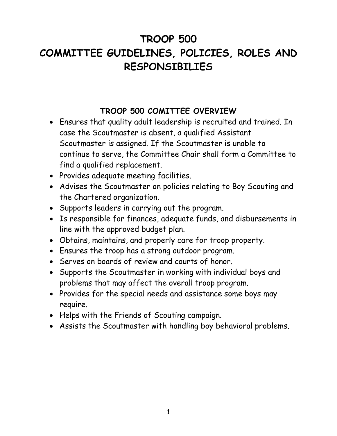# TROOP 500 COMMITTEE GUIDELINES, POLICIES, ROLES AND RESPONSIBILIES

# TROOP 500 COMITTEE OVERVIEW

- Ensures that quality adult leadership is recruited and trained. In case the Scoutmaster is absent, a qualified Assistant Scoutmaster is assigned. If the Scoutmaster is unable to continue to serve, the Committee Chair shall form a Committee to find a qualified replacement.
- Provides adequate meeting facilities.
- Advises the Scoutmaster on policies relating to Boy Scouting and the Chartered organization.
- Supports leaders in carrying out the program.
- Is responsible for finances, adequate funds, and disbursements in line with the approved budget plan.
- Obtains, maintains, and properly care for troop property.
- Ensures the troop has a strong outdoor program.
- Serves on boards of review and courts of honor.
- Supports the Scoutmaster in working with individual boys and problems that may affect the overall troop program.
- Provides for the special needs and assistance some boys may require.
- Helps with the Friends of Scouting campaign.
- Assists the Scoutmaster with handling boy behavioral problems.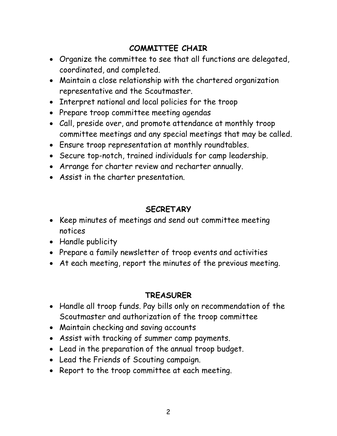## COMMITTEE CHAIR

- Organize the committee to see that all functions are delegated, coordinated, and completed.
- Maintain a close relationship with the chartered organization representative and the Scoutmaster.
- Interpret national and local policies for the troop
- Prepare troop committee meeting agendas
- Call, preside over, and promote attendance at monthly troop committee meetings and any special meetings that may be called.
- Ensure troop representation at monthly roundtables.
- Secure top-notch, trained individuals for camp leadership.
- Arrange for charter review and recharter annually.
- Assist in the charter presentation.

## **SECRETARY**

- Keep minutes of meetings and send out committee meeting notices
- Handle publicity
- Prepare a family newsletter of troop events and activities
- At each meeting, report the minutes of the previous meeting.

#### **TREASURER**

- Handle all troop funds. Pay bills only on recommendation of the Scoutmaster and authorization of the troop committee
- Maintain checking and saving accounts
- Assist with tracking of summer camp payments.
- Lead in the preparation of the annual troop budget.
- Lead the Friends of Scouting campaign.
- Report to the troop committee at each meeting.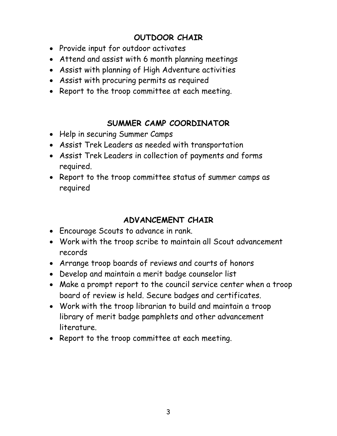# OUTDOOR CHAIR

- Provide input for outdoor activates
- Attend and assist with 6 month planning meetings
- Assist with planning of High Adventure activities
- Assist with procuring permits as required
- Report to the troop committee at each meeting.

## SUMMER CAMP COORDINATOR

- Help in securing Summer Camps
- Assist Trek Leaders as needed with transportation
- Assist Trek Leaders in collection of payments and forms required.
- Report to the troop committee status of summer camps as required

#### ADVANCEMENT CHAIR

- Encourage Scouts to advance in rank.
- Work with the troop scribe to maintain all Scout advancement records
- Arrange troop boards of reviews and courts of honors
- Develop and maintain a merit badge counselor list
- Make a prompt report to the council service center when a troop board of review is held. Secure badges and certificates.
- Work with the troop librarian to build and maintain a troop library of merit badge pamphlets and other advancement literature.
- Report to the troop committee at each meeting.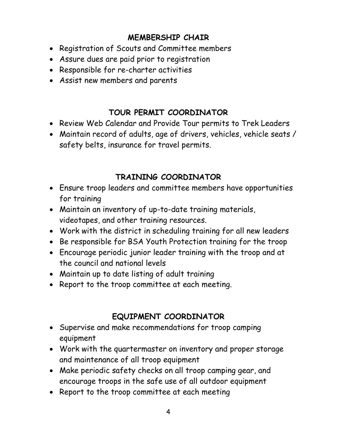## MEMBERSHIP CHAIR

- Registration of Scouts and Committee members
- Assure dues are paid prior to registration
- Responsible for re-charter activities
- Assist new members and parents

# TOUR PERMIT COORDINATOR

- Review Web Calendar and Provide Tour permits to Trek Leaders
- Maintain record of adults, age of drivers, vehicles, vehicle seats / safety belts, insurance for travel permits.

## TRAINING COORDINATOR

- Ensure troop leaders and committee members have opportunities for training
- Maintain an inventory of up-to-date training materials, videotapes, and other training resources.
- Work with the district in scheduling training for all new leaders
- Be responsible for BSA Youth Protection training for the troop
- Encourage periodic junior leader training with the troop and at the council and national levels
- Maintain up to date listing of adult training
- Report to the troop committee at each meeting.

# EQUIPMENT COORDINATOR

- Supervise and make recommendations for troop camping equipment
- Work with the quartermaster on inventory and proper storage and maintenance of all troop equipment
- Make periodic safety checks on all troop camping gear, and encourage troops in the safe use of all outdoor equipment
- Report to the troop committee at each meeting